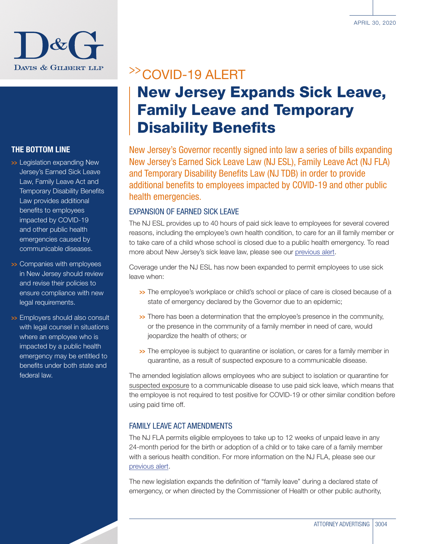

### THE BOTTOM LINE

- >> Legislation expanding New Jersey's Earned Sick Leave Law, Family Leave Act and Temporary Disability Benefits Law provides additional benefits to employees impacted by COVID-19 and other public health emergencies caused by communicable diseases.
- >>> Companies with employees in New Jersey should review and revise their policies to ensure compliance with new legal requirements.
- >> Employers should also consult with legal counsel in situations where an employee who is impacted by a public health emergency may be entitled to benefits under both state and federal law.

## >>COVID-19 ALERT

# New Jersey Expands Sick Leave, Family Leave and Temporary Disability Benefits

New Jersey's Governor recently signed into law a series of bills expanding New Jersey's Earned Sick Leave Law (NJ ESL), Family Leave Act (NJ FLA) and Temporary Disability Benefits Law (NJ TDB) in order to provide additional benefits to employees impacted by COVID-19 and other public health emergencies.

### EXPANSION OF EARNED SICK LEAVE

The NJ ESL provides up to 40 hours of paid sick leave to employees for several covered reasons, including the employee's own health condition, to care for an ill family member or to take care of a child whose school is closed due to a public health emergency. To read more about New Jersey's sick leave law, please see our [previous alert.](http://www.dglaw.com/press-alert-details.cfm?id=891)

Coverage under the NJ ESL has now been expanded to permit employees to use sick leave when:

- >>> The employee's workplace or child's school or place of care is closed because of a state of emergency declared by the Governor due to an epidemic;
- >> There has been a determination that the employee's presence in the community, or the presence in the community of a family member in need of care, would jeopardize the health of others; or
- >>> The employee is subject to quarantine or isolation, or cares for a family member in quarantine, as a result of suspected exposure to a communicable disease.

The amended legislation allows employees who are subject to isolation or quarantine for suspected exposure to a communicable disease to use paid sick leave, which means that the employee is not required to test positive for COVID-19 or other similar condition before using paid time off.

### FAMILY LEAVE ACT AMENDMENTS

The NJ FLA permits eligible employees to take up to 12 weeks of unpaid leave in any 24-month period for the birth or adoption of a child or to take care of a family member with a serious health condition. For more information on the NJ FLA, please see our [previous alert](http://www.dglaw.com/press-alert-details.cfm?id=927).

The new legislation expands the definition of "family leave" during a declared state of emergency, or when directed by the Commissioner of Health or other public authority,